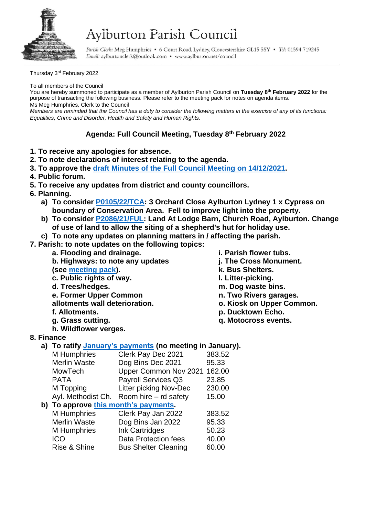

## Aylburton Parish Council

Parish Clerk: Meg Humphries . 6 Court Road, Lydney, Gloucestershire GL15 5SY . Tel: 01594 719245 Email: aylburtonclerk@outlook.com · www.aylburton.net/council

Thursday 3<sup>rd</sup> February 2022

To all members of the Council

You are hereby summoned to participate as a member of Aylburton Parish Council on **Tuesday 8 th February 2022** for the purpose of transacting the following business. Please refer to the meeting pack for notes on agenda items. Ms Meg Humphries, Clerk to the Council

*Members are reminded that the Council has a duty to consider the following matters in the exercise of any of its functions: Equalities, Crime and Disorder, Health and Safety and Human Rights.*

## **Agenda: Full Council Meeting, Tuesday 8 th February 2022**

- **1. To receive any apologies for absence.**
- **2. To note declarations of interest relating to the agenda.**
- **3. To approve the draft [Minutes of the Full Council Meeting on 14/12/2021.](http://aylburton.net/wp-content/uploads/2022/02/211214-DRAFT-Minutes-Full-Council-Meeting-14.12.21.pdf)**
- **4. Public forum.**
- **5. To receive any updates from district and county councillors.**
- **6. Planning.**
	- **a) To consider [P0105/22/TCA:](http://publicaccess.fdean.gov.uk/online-applications/applicationDetails.do?activeTab=summary&keyVal=R6ETGTHI0FD00) 3 Orchard Close Aylburton Lydney 1 x Cypress on boundary of Conservation Area. Fell to improve light into the property.**
	- **b) To consider [P2086/21/FUL:](https://publicaccess.fdean.gov.uk/online-applications/applicationDetails.do?activeTab=summary&keyVal=R4GN6PHIFM000) Land At Lodge Barn, Church Road, Aylburton. Change of use of land to allow the siting of a shepherd's hut for holiday use.**
	- **c) To note any updates on planning matters in / affecting the parish.**

**7. Parish: to note updates on the following topics:**

- **a. Flooding and drainage. b. Highways: to note any updates (see [meeting pack\)](http://aylburton.net/wp-content/uploads/2022/02/220208-Meeting-Pack-Feb-2022-Full-Council-08.02.22.pdf). c. Public rights of way. d. Trees/hedges. e. Former Upper Common allotments wall deterioration. f. Allotments. g. Grass cutting. h. Wildflower verges.**
- **i. Parish flower tubs.**
- **j. The Cross Monument.**
- **k. Bus Shelters.**
- **l. Litter-picking.**
- **m. Dog waste bins.**
- **n. Two Rivers garages.**
- **o. Kiosk on Upper Common.**
- **p. Ducktown Echo.**
- **q. Motocross events.**

## **8. Finance**

**a) To ratify [January's payments](http://aylburton.net/wp-content/uploads/2022/02/2022-01-Schedule-of-Payments-Jan-2022.pdf) (no meeting in January).**

|                                      | $\sim$ paymonto the modeling in          |        |  |
|--------------------------------------|------------------------------------------|--------|--|
| M Humphries                          | Clerk Pay Dec 2021                       | 383.52 |  |
| <b>Merlin Waste</b>                  | Dog Bins Dec 2021                        | 95.33  |  |
| MowTech                              | Upper Common Nov 2021                    | 162.00 |  |
| <b>PATA</b>                          | Payroll Services Q3                      | 23.85  |  |
| M Topping                            | Litter picking Nov-Dec                   | 230.00 |  |
|                                      | Ayl. Methodist Ch. Room hire – rd safety | 15.00  |  |
| b) To approve this month's payments. |                                          |        |  |
| M Humphries                          | Clerk Pay Jan 2022                       | 383.52 |  |
| <b>Merlin Waste</b>                  | Dog Bins Jan 2022                        | 95.33  |  |
| M Humphries                          | Ink Cartridges                           | 50.23  |  |
| ICO                                  | Data Protection fees                     | 40.00  |  |
| Rise & Shine                         | <b>Bus Shelter Cleaning</b>              | 60.00  |  |
|                                      |                                          |        |  |